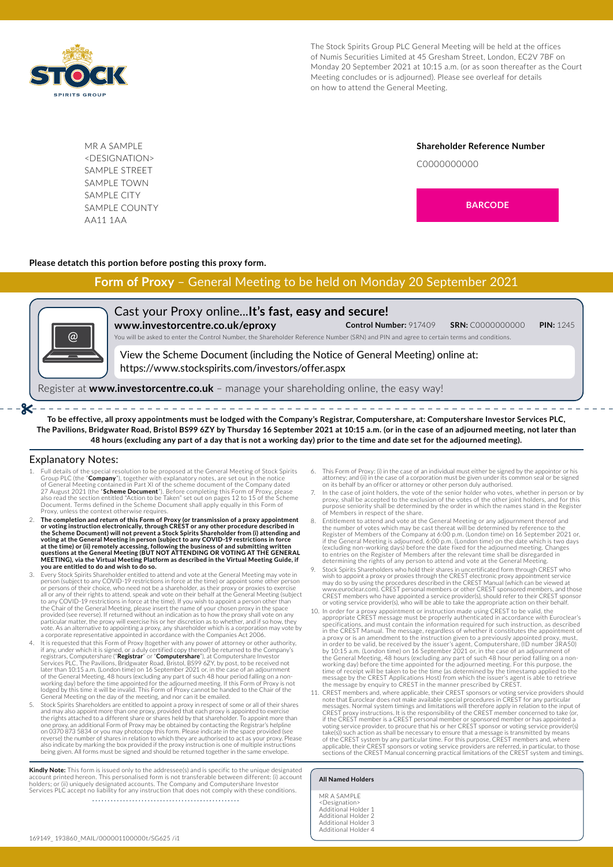

The Stock Spirits Group PLC General Meeting will be held at the offices of Numis Securities Limited at 45 Gresham Street, London, EC2V 7BF on Monday 20 September 2021 at 10:15 a.m. (or as soon thereafter as the Court Meeting concludes or is adjourned). Please see overleaf for details on how to attend the General Meeting.

MR A SAMPLE <DESIGNATION> SAMPLE STREET SAMPLE TOWN SAMPLE CITY SAMPLE COUNTY AA11 1AA

**Shareholder Reference Number** C0000000000

**BARCODE**

## **Please detatch this portion before posting this proxy form.**

# **Form of Proxy** – General Meeting to be held on Monday 20 September 2021



Cast your Proxy online...**It's fast, easy and secure! www.investorcentre.co.uk/eproxy Control Number:** 917409 **SRN:** C0000000000 **PIN:** 1245

You will be asked to enter the Control Number, the Shareholder Reference Number (SRN) and PIN and agree to certain terms and conditions.

View the Scheme Document (including the Notice of General Meeting) online at: https://www.stockspirits.com/investors/offer.aspx

Register at **www.investorcentre.co.uk** – manage your shareholding online, the easy way!

-------------------------------------

- ≫ **To be effective, all proxy appointments must be lodged with the Company's Registrar, Computershare, at: Computershare Investor Services PLC, The Pavilions, Bridgwater Road, Bristol BS99 6ZY by Thursday 16 September 2021 at 10:15 a.m. (or in the case of an adjourned meeting, not later than 48 hours (excluding any part of a day that is not a working day) prior to the time and date set for the adjourned meeting).**

## Explanatory Notes:

- 1. Full details of the special resolution to be proposed at the General Meeting of Stock Spirits<br>Group PLC (the "**Company**"), together with explanatory notes, are set out in the notice<br>of General Meeting contained in Part Document. Terms defined in the Scheme Document shall apply equally in this Form of Proxy, unless the context otherwise requires.
- The completion and return of this Form of Proxy (or transmission of a proxy appointment or voting instruction electronically, through CREST or any other procedure discribed in<br>the Scheme Document) will not prevent a Stock voting at the General Meeting in person (subject to any COVID-19 restrictions in force<br>at the time) or (ii) remotely accessing, following the business of and submitting written<br>questions at the General Meeting (BUT NOT ATT **MEETING), via the Virtual Meeting Platform as described in the Virtual Meeting Guide, if you are entitled to do and wish to do so.**
- 3. Every Stock Spirits Shareholder entitled to attend and vote at the General Meeting may vote in person (subject to any COVID-19 restrictions in force at the time) or appoint some other person or persons of their choice, who need not be a shareholder, as their proxy or proxies to exercise<br>all or any of their rights to attend, speak and vote on their behalf at the General Meeting (subject<br>to any COVID-19 restrict the Chair of the General Meeting, please insert the name of your chosen proxy in the space<br>provided (see reverse). If returned without an indication as to how the proxy shall vote on any<br>particular matter, the proxy will e vote. As an alternative to appointing a proxy, any shareholder which is a corporation may vote by a corporate representative appointed in accordance with the Companies Act 2006.
- 4. It is requested that this Form of Proxy (together with any power of attorney or other authority, if any, under which it is signed, or a duly certified copy thereof) be returned to the Company's registrars, Computershar working day) before the time appointed for the adjourned meeting. If this Form of Proxy is not<br>lodged by this time it will be invalid. This Form of Proxy cannot be handed to the Chair of the<br>General Meeting on the day of t
- 5. Stock Spirits Shareholders are entitled to appoint a proxy in respect of some or all of their shares and may also appoint more than one proxy, provided that each proxy is appointed to exercise the rights attached to a different share or shares held by that shareholder. To appoint more than one proxy, an additional Form of Proxy may be obtained by contacting the Registrar's helpline<br>on 0370 873 5834 or you may photocopy this form. Please indicate in the space provided (see<br>reverse) the number of shares in rel

**Kindly Note:** This form is issued only to the addressee(s) and is specific to the unique designated<br>account printed hereon. This personalised form is not transferable between different: (i) account<br>holders; or (ii) unique Services PLC accept no liability for any instruction that does not comply with these conditions

- 6. This Form of Proxy: (i) in the case of an individual must either be signed by the appointor or his attorney; and (ii) in the case of a corporation must be given under its common seal or be signed on its behalf by an officer or attorney or other person duly authorised.
- 7. In the case of joint holders, the vote of the senior holder who votes, whether in person or by proxy, shall be accepted to the exclusion of the votes of the other joint holders, and for this purpose seniority shall be determined by the order in which the names stand in the Register of Members in respect of the share.
- 8. Entitlement to attend and vote at the General Meeting or any adjournment thereof and<br>the number of votes which may be cast thereat will be determined by reference to the<br>Register of Members of the Company at 6:00 p.m. ( (excluding non-working days) before the date fixed for the adjourned meeting. Changes<br>to entries on the Register of Members after the relevant time shall be disregarded in<br>determining the rights of any person to attend and
- 9. Stock Spirits Shareholders who hold their shares in uncertificated form through CREST who wish to appoint a proxy or proxies through the CREST electronic proxy appointment service may do so by using the procedures described in the CREST Manual (which can be viewed at<br>www.euroclear.com). CREST personal members or other CREST sponsored members, and those<br>CREST members who have appointed a service prov or voting service provider(s), who will be able to take the appropriate action on their behalf.
- 10. In order for a proxy appointment or instruction made using CREST to be valid, the appropriate CREST message must be properly authenticated in accordance with Euroclear's specifications, and must contain the informatio the General Meeting, 48 hours (excluding any part of such 48 hour period falling on a non-<br>working day) before the time appointed for the adjourned meeting. For this purpose, the<br>time of receipt will be taken to be the tim message by the CREST Applications Host) from which the issuer's agent is able to retrieve the message by enquiry to CREST in the manner prescribed by CREST.
- 11. CREST members and, where applicable, their CREST sponsors or voting service providers should note that Euroclear does not make available special procedures in CREST for any particular messages. Normal system timings and limitations will therefore apply in relation to the input of<br>CREST proxy instructions. It is the responsibility of the CREST member concerned to take (or,<br>if the CREST member is a CREST voting service provider, to procure that his or her CREST sponsor or voting service provider(s)<br>take(s)) such action as shall be necessary to ensure that a message is transmitted by means<br>of the CREST system by any particu applicable, their CREST sponsors or voting service providers are referred, in particular, to those sections of the CREST Manual concerning practical limitations of the CREST system and timings.

#### **All Named Holders**

MR A SAMPLE <Designation> Additional Holder 1 Additional Holder 2 Additional Holder 3 Additional Holder 4